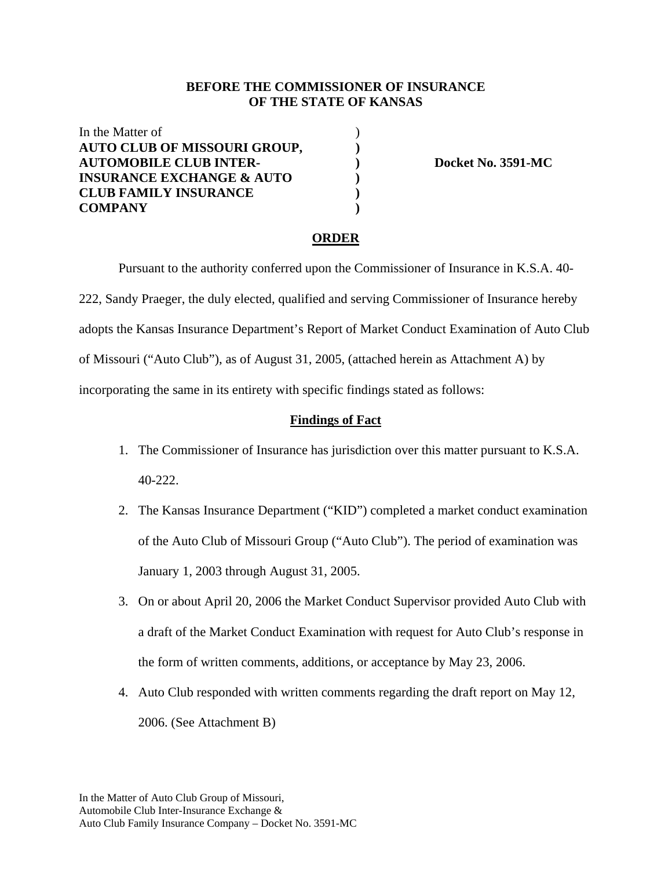### **BEFORE THE COMMISSIONER OF INSURANCE OF THE STATE OF KANSAS**

In the Matter of **AUTO CLUB OF MISSOURI GROUP, ) AUTOMOBILE CLUB INTER- ) Docket No. 3591-MC INSURANCE EXCHANGE & AUTO**  $)$ **CLUB FAMILY INSURANCE ) COMPANY )** 

#### **ORDER**

 Pursuant to the authority conferred upon the Commissioner of Insurance in K.S.A. 40- 222, Sandy Praeger, the duly elected, qualified and serving Commissioner of Insurance hereby adopts the Kansas Insurance Department's Report of Market Conduct Examination of Auto Club of Missouri ("Auto Club"), as of August 31, 2005, (attached herein as Attachment A) by incorporating the same in its entirety with specific findings stated as follows:

#### **Findings of Fact**

- 1. The Commissioner of Insurance has jurisdiction over this matter pursuant to K.S.A. 40-222.
- 2. The Kansas Insurance Department ("KID") completed a market conduct examination of the Auto Club of Missouri Group ("Auto Club"). The period of examination was January 1, 2003 through August 31, 2005.
- 3. On or about April 20, 2006 the Market Conduct Supervisor provided Auto Club with a draft of the Market Conduct Examination with request for Auto Club's response in the form of written comments, additions, or acceptance by May 23, 2006.
- 4. Auto Club responded with written comments regarding the draft report on May 12, 2006. (See Attachment B)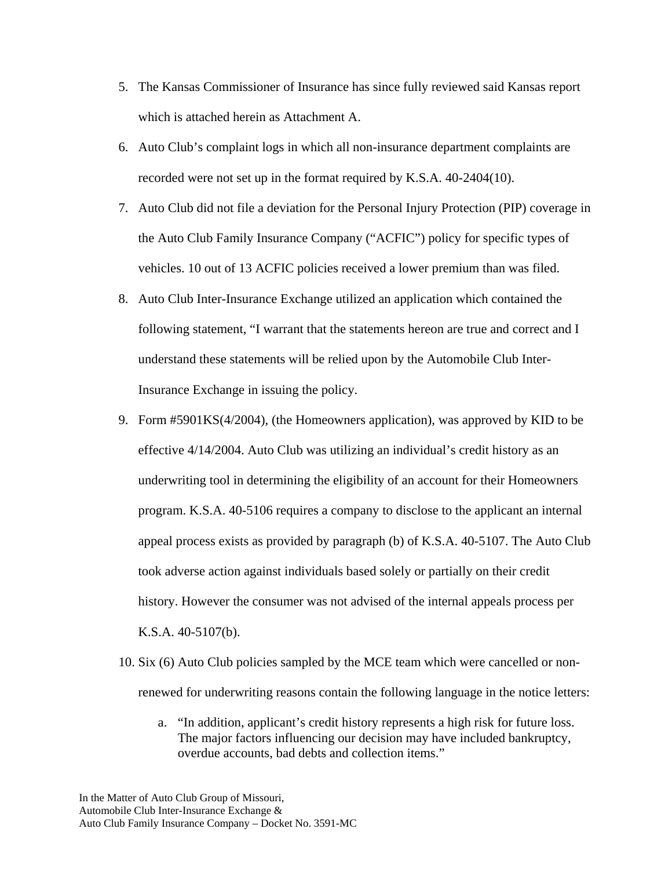- 5. The Kansas Commissioner of Insurance has since fully reviewed said Kansas report which is attached herein as Attachment A.
- 6. Auto Club's complaint logs in which all non-insurance department complaints are recorded were not set up in the format required by K.S.A. 40-2404(10).
- 7. Auto Club did not file a deviation for the Personal Injury Protection (PIP) coverage in the Auto Club Family Insurance Company ("ACFIC") policy for specific types of vehicles. 10 out of 13 ACFIC policies received a lower premium than was filed.
- 8. Auto Club Inter-Insurance Exchange utilized an application which contained the following statement, "I warrant that the statements hereon are true and correct and I understand these statements will be relied upon by the Automobile Club Inter-Insurance Exchange in issuing the policy.
- 9. Form #5901KS(4/2004), (the Homeowners application), was approved by KID to be effective 4/14/2004. Auto Club was utilizing an individual's credit history as an underwriting tool in determining the eligibility of an account for their Homeowners program. K.S.A. 40-5106 requires a company to disclose to the applicant an internal appeal process exists as provided by paragraph (b) of K.S.A. 40-5107. The Auto Club took adverse action against individuals based solely or partially on their credit history. However the consumer was not advised of the internal appeals process per K.S.A. 40-5107(b).
- 10. Six (6) Auto Club policies sampled by the MCE team which were cancelled or nonrenewed for underwriting reasons contain the following language in the notice letters:
	- a. "In addition, applicant's credit history represents a high risk for future loss. The major factors influencing our decision may have included bankruptcy, overdue accounts, bad debts and collection items."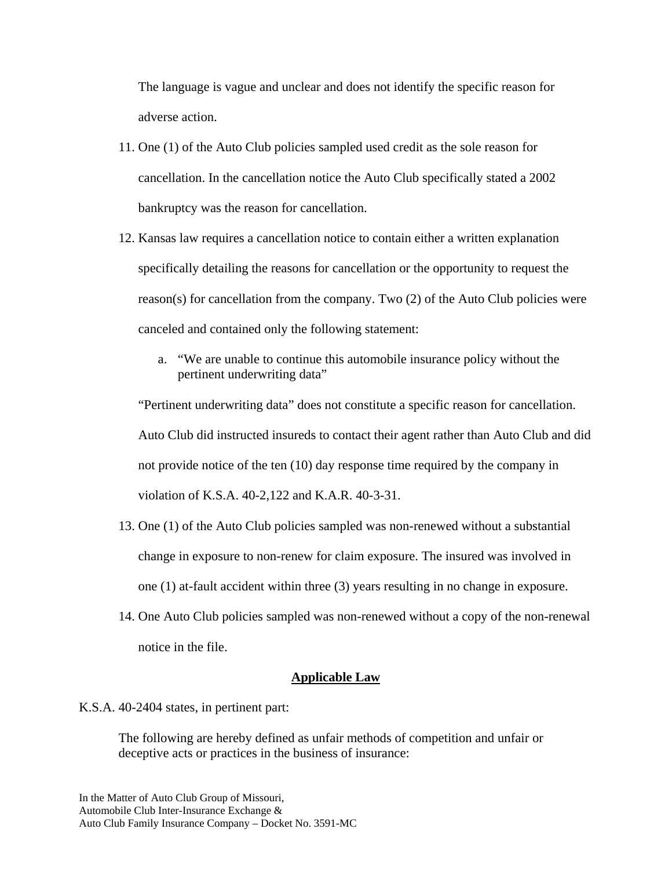The language is vague and unclear and does not identify the specific reason for adverse action.

- 11. One (1) of the Auto Club policies sampled used credit as the sole reason for cancellation. In the cancellation notice the Auto Club specifically stated a 2002 bankruptcy was the reason for cancellation.
- 12. Kansas law requires a cancellation notice to contain either a written explanation specifically detailing the reasons for cancellation or the opportunity to request the reason(s) for cancellation from the company. Two (2) of the Auto Club policies were canceled and contained only the following statement:
	- a. "We are unable to continue this automobile insurance policy without the pertinent underwriting data"

"Pertinent underwriting data" does not constitute a specific reason for cancellation. Auto Club did instructed insureds to contact their agent rather than Auto Club and did not provide notice of the ten (10) day response time required by the company in violation of K.S.A. 40-2,122 and K.A.R. 40-3-31.

- 13. One (1) of the Auto Club policies sampled was non-renewed without a substantial change in exposure to non-renew for claim exposure. The insured was involved in one (1) at-fault accident within three (3) years resulting in no change in exposure.
- 14. One Auto Club policies sampled was non-renewed without a copy of the non-renewal notice in the file.

### **Applicable Law**

K.S.A. 40-2404 states, in pertinent part:

The following are hereby defined as unfair methods of competition and unfair or deceptive acts or practices in the business of insurance: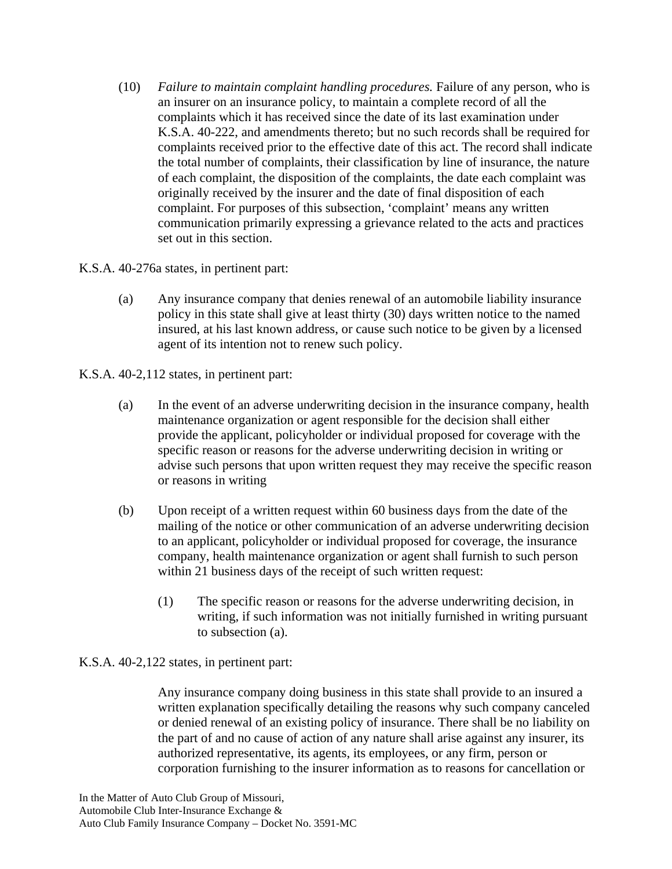(10) *Failure to maintain complaint handling procedures.* Failure of any person, who is an insurer on an insurance policy, to maintain a complete record of all the complaints which it has received since the date of its last examination under K.S.A. 40-222, and amendments thereto; but no such records shall be required for complaints received prior to the effective date of this act. The record shall indicate the total number of complaints, their classification by line of insurance, the nature of each complaint, the disposition of the complaints, the date each complaint was originally received by the insurer and the date of final disposition of each complaint. For purposes of this subsection, 'complaint' means any written communication primarily expressing a grievance related to the acts and practices set out in this section.

K.S.A. 40-276a states, in pertinent part:

(a) Any insurance company that denies renewal of an automobile liability insurance policy in this state shall give at least thirty (30) days written notice to the named insured, at his last known address, or cause such notice to be given by a licensed agent of its intention not to renew such policy.

K.S.A. 40-2,112 states, in pertinent part:

- (a) In the event of an adverse underwriting decision in the insurance company, health maintenance organization or agent responsible for the decision shall either provide the applicant, policyholder or individual proposed for coverage with the specific reason or reasons for the adverse underwriting decision in writing or advise such persons that upon written request they may receive the specific reason or reasons in writing
- (b) Upon receipt of a written request within 60 business days from the date of the mailing of the notice or other communication of an adverse underwriting decision to an applicant, policyholder or individual proposed for coverage, the insurance company, health maintenance organization or agent shall furnish to such person within 21 business days of the receipt of such written request:
	- (1) The specific reason or reasons for the adverse underwriting decision, in writing, if such information was not initially furnished in writing pursuant to subsection (a).

# K.S.A. 40-2,122 states, in pertinent part:

Any insurance company doing business in this state shall provide to an insured a written explanation specifically detailing the reasons why such company canceled or denied renewal of an existing policy of insurance. There shall be no liability on the part of and no cause of action of any nature shall arise against any insurer, its authorized representative, its agents, its employees, or any firm, person or corporation furnishing to the insurer information as to reasons for cancellation or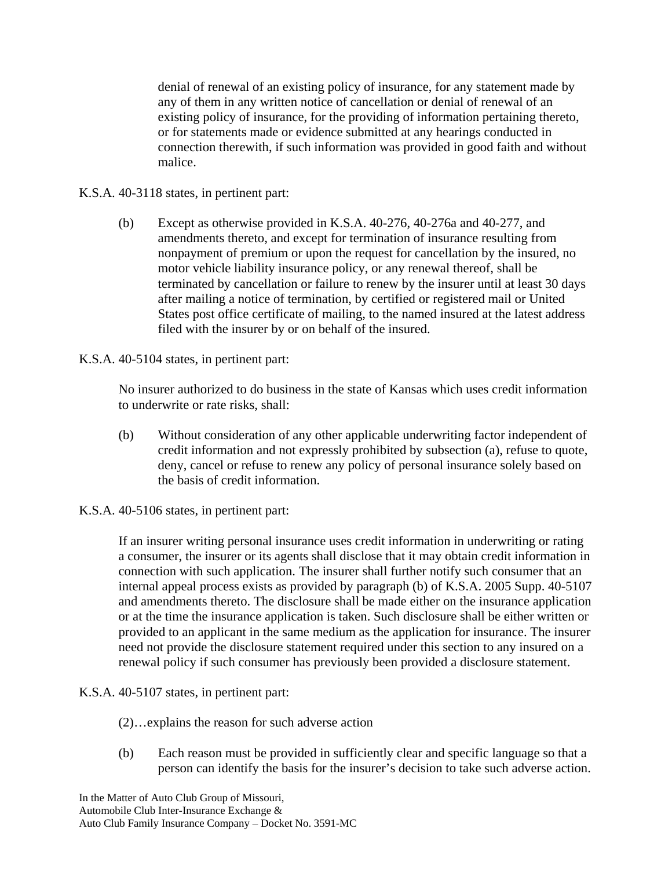denial of renewal of an existing policy of insurance, for any statement made by any of them in any written notice of cancellation or denial of renewal of an existing policy of insurance, for the providing of information pertaining thereto, or for statements made or evidence submitted at any hearings conducted in connection therewith, if such information was provided in good faith and without malice.

# K.S.A. 40-3118 states, in pertinent part:

- (b) Except as otherwise provided in K.S.A. 40-276, 40-276a and 40-277, and amendments thereto, and except for termination of insurance resulting from nonpayment of premium or upon the request for cancellation by the insured, no motor vehicle liability insurance policy, or any renewal thereof, shall be terminated by cancellation or failure to renew by the insurer until at least 30 days after mailing a notice of termination, by certified or registered mail or United States post office certificate of mailing, to the named insured at the latest address filed with the insurer by or on behalf of the insured.
- K.S.A. 40-5104 states, in pertinent part:

No insurer authorized to do business in the state of Kansas which uses credit information to underwrite or rate risks, shall:

- (b) Without consideration of any other applicable underwriting factor independent of credit information and not expressly prohibited by subsection (a), refuse to quote, deny, cancel or refuse to renew any policy of personal insurance solely based on the basis of credit information.
- K.S.A. 40-5106 states, in pertinent part:

If an insurer writing personal insurance uses credit information in underwriting or rating a consumer, the insurer or its agents shall disclose that it may obtain credit information in connection with such application. The insurer shall further notify such consumer that an internal appeal process exists as provided by paragraph (b) of K.S.A. 2005 Supp. 40-5107 and amendments thereto. The disclosure shall be made either on the insurance application or at the time the insurance application is taken. Such disclosure shall be either written or provided to an applicant in the same medium as the application for insurance. The insurer need not provide the disclosure statement required under this section to any insured on a renewal policy if such consumer has previously been provided a disclosure statement.

### K.S.A. 40-5107 states, in pertinent part:

- (2)…explains the reason for such adverse action
- (b) Each reason must be provided in sufficiently clear and specific language so that a person can identify the basis for the insurer's decision to take such adverse action.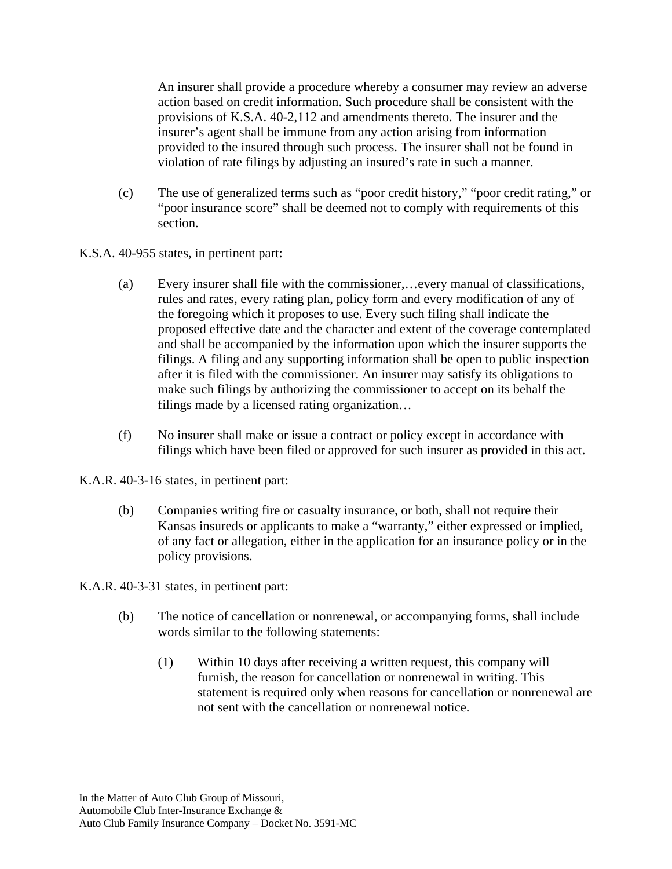An insurer shall provide a procedure whereby a consumer may review an adverse action based on credit information. Such procedure shall be consistent with the provisions of K.S.A. 40-2,112 and amendments thereto. The insurer and the insurer's agent shall be immune from any action arising from information provided to the insured through such process. The insurer shall not be found in violation of rate filings by adjusting an insured's rate in such a manner.

(c) The use of generalized terms such as "poor credit history," "poor credit rating," or "poor insurance score" shall be deemed not to comply with requirements of this section.

K.S.A. 40-955 states, in pertinent part:

- (a) Every insurer shall file with the commissioner,…every manual of classifications, rules and rates, every rating plan, policy form and every modification of any of the foregoing which it proposes to use. Every such filing shall indicate the proposed effective date and the character and extent of the coverage contemplated and shall be accompanied by the information upon which the insurer supports the filings. A filing and any supporting information shall be open to public inspection after it is filed with the commissioner. An insurer may satisfy its obligations to make such filings by authorizing the commissioner to accept on its behalf the filings made by a licensed rating organization…
- (f) No insurer shall make or issue a contract or policy except in accordance with filings which have been filed or approved for such insurer as provided in this act.

K.A.R. 40-3-16 states, in pertinent part:

(b) Companies writing fire or casualty insurance, or both, shall not require their Kansas insureds or applicants to make a "warranty," either expressed or implied, of any fact or allegation, either in the application for an insurance policy or in the policy provisions.

K.A.R. 40-3-31 states, in pertinent part:

- (b) The notice of cancellation or nonrenewal, or accompanying forms, shall include words similar to the following statements:
	- (1) Within 10 days after receiving a written request, this company will furnish, the reason for cancellation or nonrenewal in writing. This statement is required only when reasons for cancellation or nonrenewal are not sent with the cancellation or nonrenewal notice.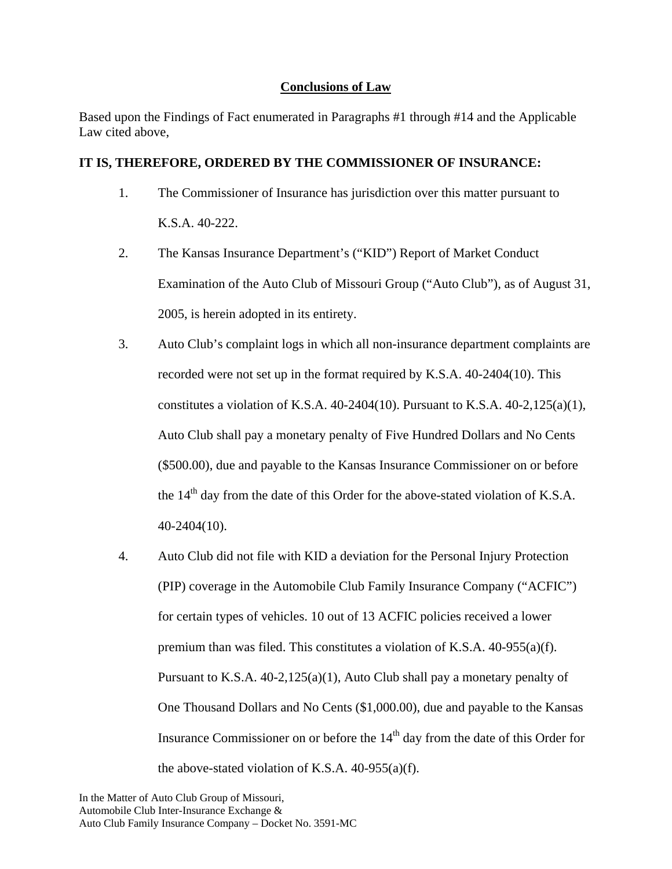## **Conclusions of Law**

Based upon the Findings of Fact enumerated in Paragraphs #1 through #14 and the Applicable Law cited above,

## **IT IS, THEREFORE, ORDERED BY THE COMMISSIONER OF INSURANCE:**

- 1. The Commissioner of Insurance has jurisdiction over this matter pursuant to K.S.A. 40-222.
- 2. The Kansas Insurance Department's ("KID") Report of Market Conduct Examination of the Auto Club of Missouri Group ("Auto Club"), as of August 31, 2005, is herein adopted in its entirety.
- 3. Auto Club's complaint logs in which all non-insurance department complaints are recorded were not set up in the format required by K.S.A. 40-2404(10). This constitutes a violation of K.S.A.  $40-2404(10)$ . Pursuant to K.S.A.  $40-2.125(a)(1)$ , Auto Club shall pay a monetary penalty of Five Hundred Dollars and No Cents (\$500.00), due and payable to the Kansas Insurance Commissioner on or before the  $14<sup>th</sup>$  day from the date of this Order for the above-stated violation of K.S.A. 40-2404(10).
- 4. Auto Club did not file with KID a deviation for the Personal Injury Protection (PIP) coverage in the Automobile Club Family Insurance Company ("ACFIC") for certain types of vehicles. 10 out of 13 ACFIC policies received a lower premium than was filed. This constitutes a violation of K.S.A. 40-955(a)(f). Pursuant to K.S.A. 40-2,125(a)(1), Auto Club shall pay a monetary penalty of One Thousand Dollars and No Cents (\$1,000.00), due and payable to the Kansas Insurance Commissioner on or before the  $14<sup>th</sup>$  day from the date of this Order for the above-stated violation of K.S.A.  $40-955(a)(f)$ .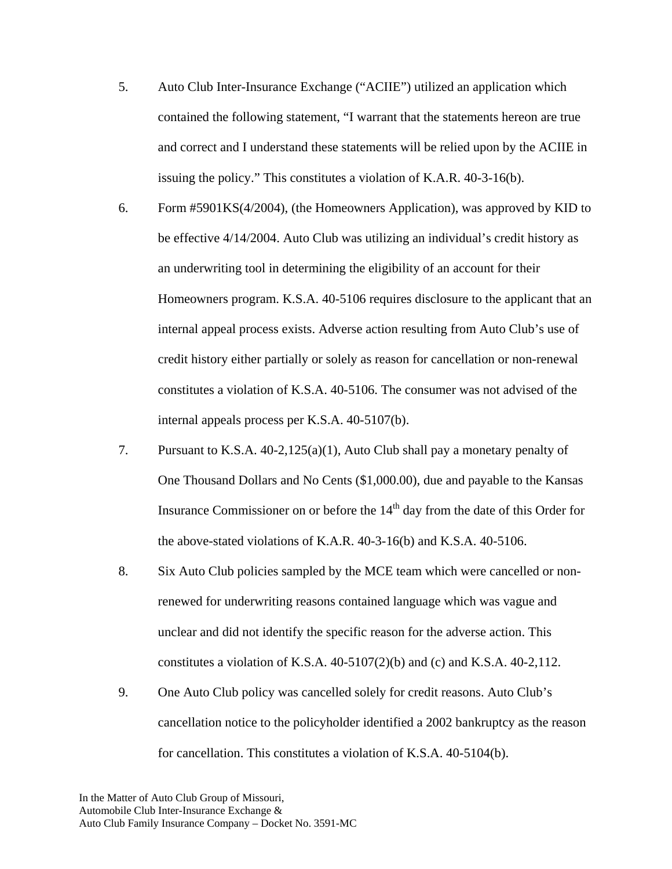- 5. Auto Club Inter-Insurance Exchange ("ACIIE") utilized an application which contained the following statement, "I warrant that the statements hereon are true and correct and I understand these statements will be relied upon by the ACIIE in issuing the policy." This constitutes a violation of K.A.R. 40-3-16(b).
- 6. Form #5901KS(4/2004), (the Homeowners Application), was approved by KID to be effective 4/14/2004. Auto Club was utilizing an individual's credit history as an underwriting tool in determining the eligibility of an account for their Homeowners program. K.S.A. 40-5106 requires disclosure to the applicant that an internal appeal process exists. Adverse action resulting from Auto Club's use of credit history either partially or solely as reason for cancellation or non-renewal constitutes a violation of K.S.A. 40-5106. The consumer was not advised of the internal appeals process per K.S.A. 40-5107(b).
- 7. Pursuant to K.S.A. 40-2,125(a)(1), Auto Club shall pay a monetary penalty of One Thousand Dollars and No Cents (\$1,000.00), due and payable to the Kansas Insurance Commissioner on or before the  $14<sup>th</sup>$  day from the date of this Order for the above-stated violations of K.A.R. 40-3-16(b) and K.S.A. 40-5106.
- 8. Six Auto Club policies sampled by the MCE team which were cancelled or nonrenewed for underwriting reasons contained language which was vague and unclear and did not identify the specific reason for the adverse action. This constitutes a violation of K.S.A.  $40-5107(2)$ (b) and (c) and K.S.A.  $40-2,112$ .
- 9. One Auto Club policy was cancelled solely for credit reasons. Auto Club's cancellation notice to the policyholder identified a 2002 bankruptcy as the reason for cancellation. This constitutes a violation of K.S.A. 40-5104(b).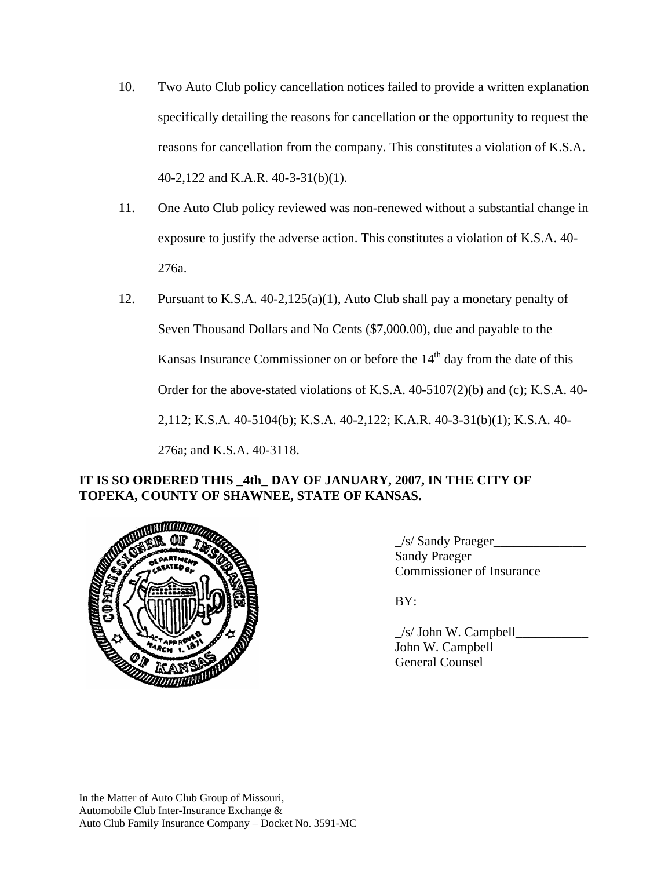- 10. Two Auto Club policy cancellation notices failed to provide a written explanation specifically detailing the reasons for cancellation or the opportunity to request the reasons for cancellation from the company. This constitutes a violation of K.S.A. 40-2,122 and K.A.R. 40-3-31(b)(1).
- 11. One Auto Club policy reviewed was non-renewed without a substantial change in exposure to justify the adverse action. This constitutes a violation of K.S.A. 40- 276a.
- 12. Pursuant to K.S.A. 40-2,125(a)(1), Auto Club shall pay a monetary penalty of Seven Thousand Dollars and No Cents (\$7,000.00), due and payable to the Kansas Insurance Commissioner on or before the  $14<sup>th</sup>$  day from the date of this Order for the above-stated violations of K.S.A. 40-5107(2)(b) and (c); K.S.A. 40- 2,112; K.S.A. 40-5104(b); K.S.A. 40-2,122; K.A.R. 40-3-31(b)(1); K.S.A. 40- 276a; and K.S.A. 40-3118.

# **IT IS SO ORDERED THIS \_4th\_ DAY OF JANUARY, 2007, IN THE CITY OF TOPEKA, COUNTY OF SHAWNEE, STATE OF KANSAS.**



 $\angle$ s/ Sandy Praeger $\angle$  Sandy Praeger Commissioner of Insurance

 $\angle$ s/ John W. Campbell $\angle$  John W. Campbell General Counsel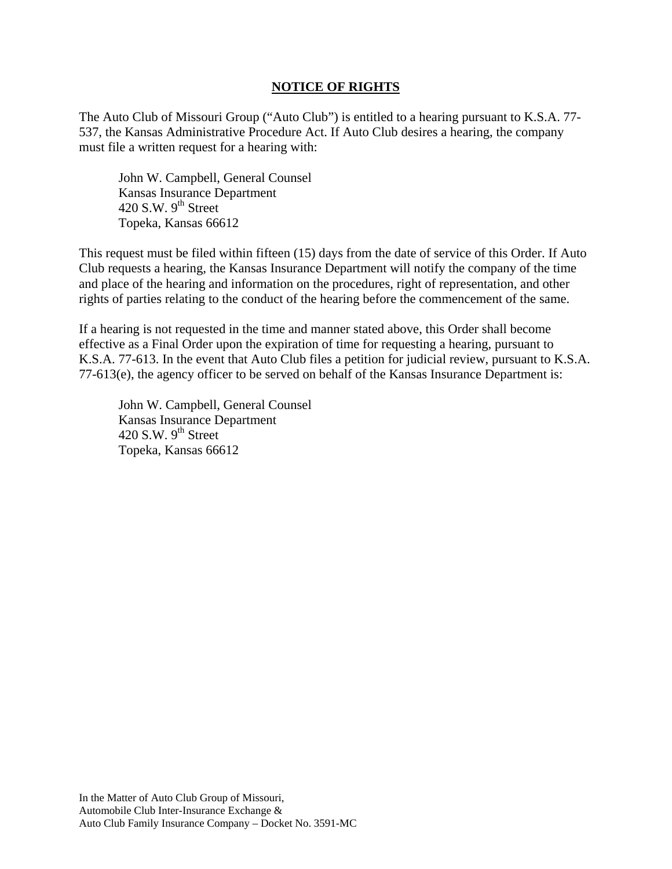### **NOTICE OF RIGHTS**

The Auto Club of Missouri Group ("Auto Club") is entitled to a hearing pursuant to K.S.A. 77- 537, the Kansas Administrative Procedure Act. If Auto Club desires a hearing, the company must file a written request for a hearing with:

 John W. Campbell, General Counsel Kansas Insurance Department 420 S.W.  $9^{th}$  Street Topeka, Kansas 66612

This request must be filed within fifteen (15) days from the date of service of this Order. If Auto Club requests a hearing, the Kansas Insurance Department will notify the company of the time and place of the hearing and information on the procedures, right of representation, and other rights of parties relating to the conduct of the hearing before the commencement of the same.

If a hearing is not requested in the time and manner stated above, this Order shall become effective as a Final Order upon the expiration of time for requesting a hearing, pursuant to K.S.A. 77-613. In the event that Auto Club files a petition for judicial review, pursuant to K.S.A. 77-613(e), the agency officer to be served on behalf of the Kansas Insurance Department is:

 John W. Campbell, General Counsel Kansas Insurance Department 420 S.W.  $9<sup>th</sup>$  Street Topeka, Kansas 66612